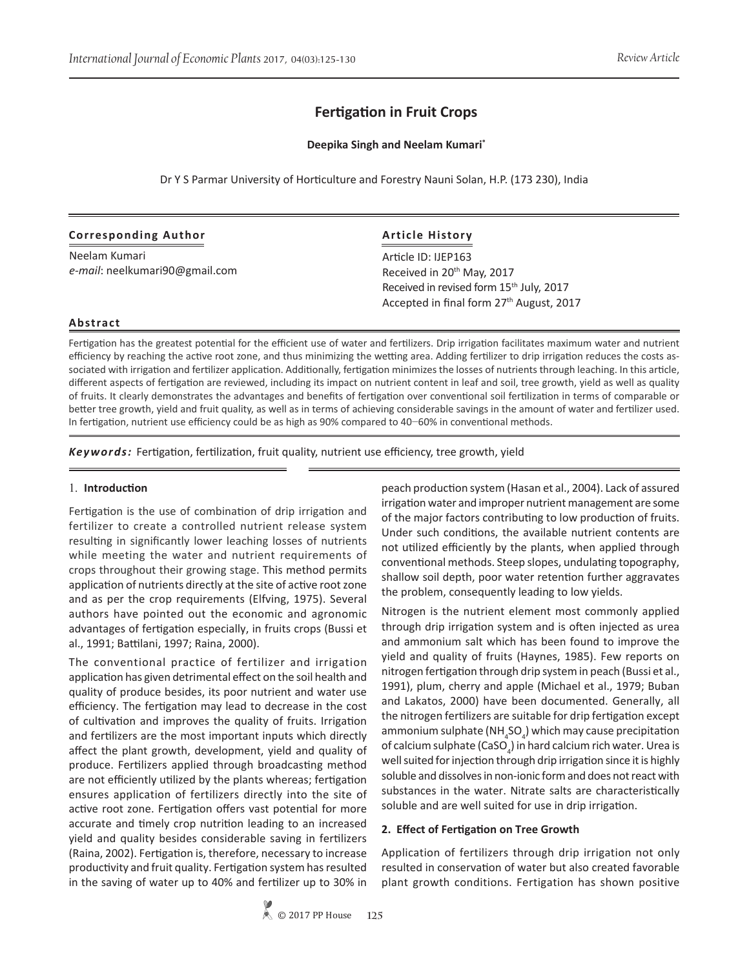# **Fertigation in Fruit Crops**

## **Deepika Singh and Neelam Kumari\***

Dr Y S Parmar University of Horticulture and Forestry Nauni Solan, H.P. (173 230), India

## **Corresponding Author**

Neelam Kumari *e-mail*: neelkumari90@gmail.com

## **Article History**

Article ID: IJEP163 Received in 20<sup>th</sup> May, 2017 Received in revised form 15<sup>th</sup> July, 2017 Accepted in final form 27<sup>th</sup> August, 2017

#### **Abstract**

Fertigation has the greatest potential for the efficient use of water and fertilizers. Drip irrigation facilitates maximum water and nutrient efficiency by reaching the active root zone, and thus minimizing the wetting area. Adding fertilizer to drip irrigation reduces the costs associated with irrigation and fertilizer application. Additionally, fertigation minimizes the losses of nutrients through leaching. In this article, different aspects of fertigation are reviewed, including its impact on nutrient content in leaf and soil, tree growth, yield as well as quality of fruits. It clearly demonstrates the advantages and benefits of fertigation over conventional soil fertilization in terms of comparable or better tree growth, yield and fruit quality, as well as in terms of achieving considerable savings in the amount of water and fertilizer used. In fertigation, nutrient use efficiency could be as high as 90% compared to 40−60% in conventional methods.

*Keywords:* Fertigation, fertilization, fruit quality, nutrient use efficiency, tree growth, yield

### 1. **Introduction**

Fertigation is the use of combination of drip irrigation and fertilizer to create a controlled nutrient release system resulting in significantly lower leaching losses of nutrients while meeting the water and nutrient requirements of crops throughout their growing stage. This method permits application of nutrients directly at the site of active root zone and as per the crop requirements (Elfving, 1975). Several authors have pointed out the economic and agronomic advantages of fertigation especially, in fruits crops (Bussi et al., 1991; Battilani, 1997; Raina, 2000).

The conventional practice of fertilizer and irrigation application has given detrimental effect on the soil health and quality of produce besides, its poor nutrient and water use efficiency. The fertigation may lead to decrease in the cost of cultivation and improves the quality of fruits. Irrigation and fertilizers are the most important inputs which directly affect the plant growth, development, yield and quality of produce. Fertilizers applied through broadcasting method are not efficiently utilized by the plants whereas; fertigation ensures application of fertilizers directly into the site of active root zone. Fertigation offers vast potential for more accurate and timely crop nutrition leading to an increased yield and quality besides considerable saving in fertilizers (Raina, 2002). Fertigation is, therefore, necessary to increase productivity and fruit quality. Fertigation system has resulted in the saving of water up to 40% and fertilizer up to 30% in

peach production system (Hasan et al., 2004). Lack of assured irrigation water and improper nutrient management are some of the major factors contributing to low production of fruits. Under such conditions, the available nutrient contents are not utilized efficiently by the plants, when applied through conventional methods. Steep slopes, undulating topography, shallow soil depth, poor water retention further aggravates the problem, consequently leading to low yields.

Nitrogen is the nutrient element most commonly applied through drip irrigation system and is often injected as urea and ammonium salt which has been found to improve the yield and quality of fruits (Haynes, 1985). Few reports on nitrogen fertigation through drip system in peach (Bussi et al., 1991), plum, cherry and apple (Michael et al., 1979; Buban and Lakatos, 2000) have been documented. Generally, all the nitrogen fertilizers are suitable for drip fertigation except ammonium sulphate (NH<sub>4</sub>SO<sub>4</sub>) which may cause precipitation of calcium sulphate (CaSO<sub>4</sub>) in hard calcium rich water. Urea is well suited for injection through drip irrigation since it is highly soluble and dissolves in non-ionic form and does not react with substances in the water. Nitrate salts are characteristically soluble and are well suited for use in drip irrigation.

## **2. Effect of Fertigation on Tree Growth**

Application of fertilizers through drip irrigation not only resulted in conservation of water but also created favorable plant growth conditions. Fertigation has shown positive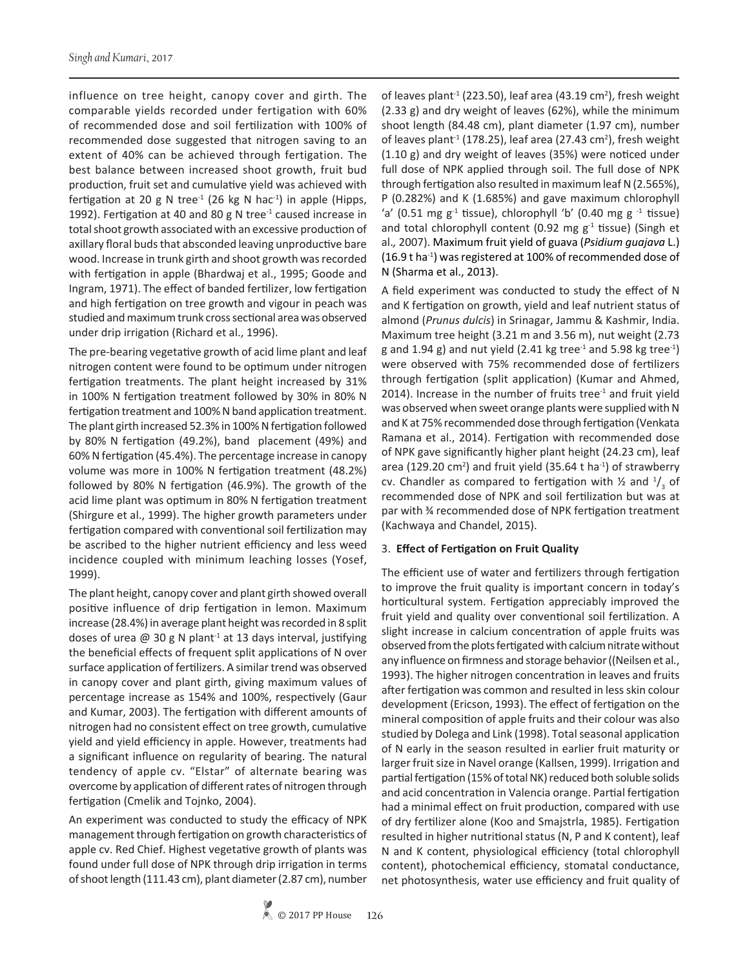influence on tree height, canopy cover and girth. The comparable yields recorded under fertigation with 60% of recommended dose and soil fertilization with 100% of recommended dose suggested that nitrogen saving to an extent of 40% can be achieved through fertigation. The best balance between increased shoot growth, fruit bud production, fruit set and cumulative yield was achieved with fertigation at 20 g N tree<sup>-1</sup> (26 kg N hac<sup>-1</sup>) in apple (Hipps, 1992). Fertigation at 40 and 80 g N tree $1$  caused increase in total shoot growth associated with an excessive production of axillary floral buds that absconded leaving unproductive bare wood. Increase in trunk girth and shoot growth was recorded with fertigation in apple (Bhardwaj et al., 1995; Goode and Ingram, 1971). The effect of banded fertilizer, low fertigation and high fertigation on tree growth and vigour in peach was studied and maximum trunk cross sectional area was observed under drip irrigation (Richard et al., 1996).

The pre-bearing vegetative growth of acid lime plant and leaf nitrogen content were found to be optimum under nitrogen fertigation treatments. The plant height increased by 31% in 100% N fertigation treatment followed by 30% in 80% N fertigation treatment and 100% N band application treatment. The plant girth increased 52.3% in 100% N fertigation followed by 80% N fertigation (49.2%), band placement (49%) and 60% N fertigation (45.4%). The percentage increase in canopy volume was more in 100% N fertigation treatment (48.2%) followed by 80% N fertigation (46.9%). The growth of the acid lime plant was optimum in 80% N fertigation treatment (Shirgure et al., 1999). The higher growth parameters under fertigation compared with conventional soil fertilization may be ascribed to the higher nutrient efficiency and less weed incidence coupled with minimum leaching losses (Yosef, 1999).

The plant height, canopy cover and plant girth showed overall positive influence of drip fertigation in lemon. Maximum increase (28.4%) in average plant height was recorded in 8 split doses of urea  $\omega$  30 g N plant<sup>-1</sup> at 13 days interval, justifying the beneficial effects of frequent split applications of N over surface application of fertilizers. A similar trend was observed in canopy cover and plant girth, giving maximum values of percentage increase as 154% and 100%, respectively (Gaur and Kumar, 2003). The fertigation with different amounts of nitrogen had no consistent effect on tree growth, cumulative yield and yield efficiency in apple. However, treatments had a significant influence on regularity of bearing. The natural tendency of apple cv. "Elstar" of alternate bearing was overcome by application of different rates of nitrogen through fertigation (Cmelik and Tojnko, 2004).

An experiment was conducted to study the efficacy of NPK management through fertigation on growth characteristics of apple cv. Red Chief. Highest vegetative growth of plants was found under full dose of NPK through drip irrigation in terms of shoot length (111.43 cm), plant diameter (2.87 cm), number

of leaves plant<sup>-1</sup> (223.50), leaf area (43.19 cm<sup>2</sup>), fresh weight (2.33 g) and dry weight of leaves (62%), while the minimum shoot length (84.48 cm), plant diameter (1.97 cm), number of leaves plant<sup>-1</sup> (178.25), leaf area (27.43 cm<sup>2</sup>), fresh weight (1.10 g) and dry weight of leaves (35%) were noticed under full dose of NPK applied through soil. The full dose of NPK through fertigation also resulted in maximum leaf N (2.565%), P (0.282%) and K (1.685%) and gave maximum chlorophyll 'a' (0.51 mg  $g^{-1}$  tissue), chlorophyll 'b' (0.40 mg  $g^{-1}$  tissue) and total chlorophyll content (0.92 mg  $g^{-1}$  tissue) (Singh et al.*,* 2007). Maximum fruit yield of guava (*Psidium guajava* L.)  $(16.9 t \text{ ha}^{-1})$  was registered at 100% of recommended dose of N (Sharma et al., 2013).

A field experiment was conducted to study the effect of N and K fertigation on growth, yield and leaf nutrient status of almond (*Prunus dulcis*) in Srinagar, Jammu & Kashmir, India. Maximum tree height (3.21 m and 3.56 m), nut weight (2.73 g and 1.94 g) and nut yield (2.41 kg tree<sup>-1</sup> and 5.98 kg tree<sup>-1</sup>) were observed with 75% recommended dose of fertilizers through fertigation (split application) (Kumar and Ahmed, 2014). Increase in the number of fruits tree $1$  and fruit yield was observed when sweet orange plants were supplied with N and K at 75% recommended dose through fertigation (Venkata Ramana et al., 2014). Fertigation with recommended dose of NPK gave significantly higher plant height (24.23 cm), leaf area (129.20 cm<sup>2</sup>) and fruit yield (35.64 t ha<sup>-1</sup>) of strawberry cv. Chandler as compared to fertigation with  $\frac{1}{2}$  and  $\frac{1}{3}$  of recommended dose of NPK and soil fertilization but was at par with ¾ recommended dose of NPK fertigation treatment (Kachwaya and Chandel, 2015).

## 3. **Effect of Fertigation on Fruit Quality**

The efficient use of water and fertilizers through fertigation to improve the fruit quality is important concern in today's horticultural system. Fertigation appreciably improved the fruit yield and quality over conventional soil fertilization. A slight increase in calcium concentration of apple fruits was observed from the plots fertigated with calcium nitrate without any influence on firmness and storage behavior ((Neilsen et al*.*, 1993). The higher nitrogen concentration in leaves and fruits after fertigation was common and resulted in less skin colour development (Ericson, 1993). The effect of fertigation on the mineral composition of apple fruits and their colour was also studied by Dolega and Link (1998). Total seasonal application of N early in the season resulted in earlier fruit maturity or larger fruit size in Navel orange (Kallsen, 1999). Irrigation and partial fertigation (15% of total NK) reduced both soluble solids and acid concentration in Valencia orange. Partial fertigation had a minimal effect on fruit production, compared with use of dry fertilizer alone (Koo and Smajstrla, 1985). Fertigation resulted in higher nutritional status (N, P and K content), leaf N and K content, physiological efficiency (total chlorophyll content), photochemical efficiency, stomatal conductance, net photosynthesis, water use efficiency and fruit quality of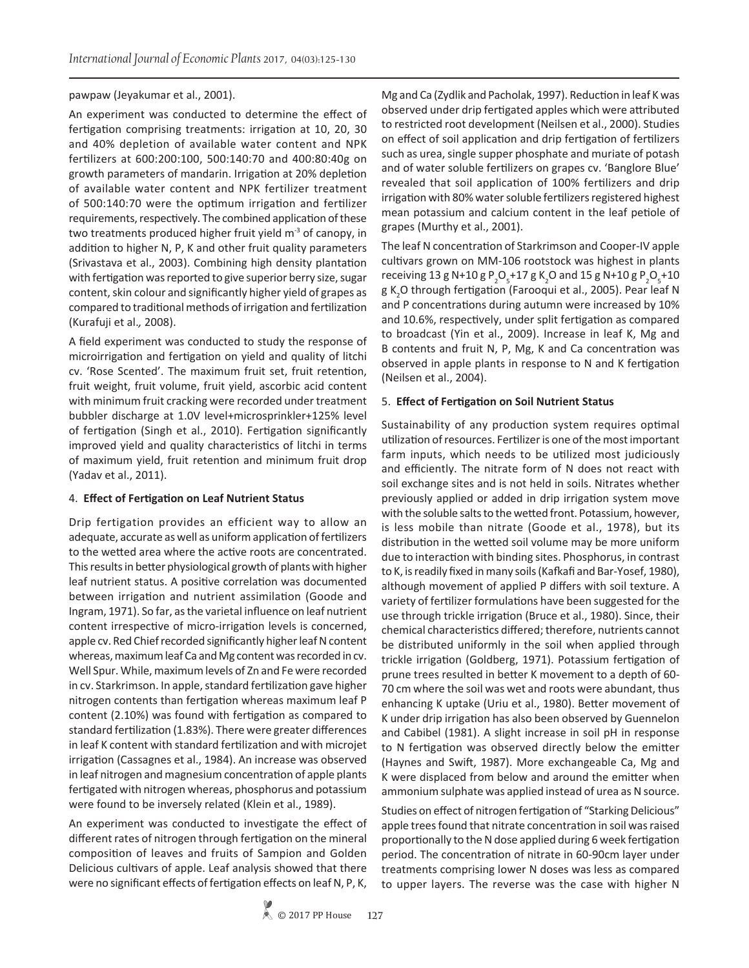#### pawpaw (Jeyakumar et al., 2001).

An experiment was conducted to determine the effect of fertigation comprising treatments: irrigation at 10, 20, 30 and 40% depletion of available water content and NPK fertilizers at 600:200:100, 500:140:70 and 400:80:40g on growth parameters of mandarin. Irrigation at 20% depletion of available water content and NPK fertilizer treatment of 500:140:70 were the optimum irrigation and fertilizer requirements, respectively. The combined application of these two treatments produced higher fruit yield  $m<sup>3</sup>$  of canopy, in addition to higher N, P, K and other fruit quality parameters (Srivastava et al., 2003). Combining high density plantation with fertigation was reported to give superior berry size, sugar content, skin colour and significantly higher yield of grapes as compared to traditional methods of irrigation and fertilization (Kurafuji et al.*,* 2008).

A field experiment was conducted to study the response of microirrigation and fertigation on yield and quality of litchi cv. 'Rose Scented'. The maximum fruit set, fruit retention, fruit weight, fruit volume, fruit yield, ascorbic acid content with minimum fruit cracking were recorded under treatment bubbler discharge at 1.0V level+microsprinkler+125% level of fertigation (Singh et al., 2010). Fertigation significantly improved yield and quality characteristics of litchi in terms of maximum yield, fruit retention and minimum fruit drop (Yadav et al., 2011).

## 4. **Effect of Fertigation on Leaf Nutrient Status**

Drip fertigation provides an efficient way to allow an adequate, accurate as well as uniform application of fertilizers to the wetted area where the active roots are concentrated. This results in better physiological growth of plants with higher leaf nutrient status. A positive correlation was documented between irrigation and nutrient assimilation (Goode and Ingram, 1971). So far, as the varietal influence on leaf nutrient content irrespective of micro-irrigation levels is concerned, apple cv. Red Chief recorded significantly higher leaf N content whereas, maximum leaf Ca and Mg content was recorded in cv. Well Spur. While, maximum levels of Zn and Fe were recorded in cv. Starkrimson. In apple, standard fertilization gave higher nitrogen contents than fertigation whereas maximum leaf P content (2.10%) was found with fertigation as compared to standard fertilization (1.83%). There were greater differences in leaf K content with standard fertilization and with microjet irrigation (Cassagnes et al., 1984). An increase was observed in leaf nitrogen and magnesium concentration of apple plants fertigated with nitrogen whereas, phosphorus and potassium were found to be inversely related (Klein et al., 1989).

An experiment was conducted to investigate the effect of different rates of nitrogen through fertigation on the mineral composition of leaves and fruits of Sampion and Golden Delicious cultivars of apple. Leaf analysis showed that there were no significant effects of fertigation effects on leaf N, P, K, Mg and Ca (Zydlik and Pacholak, 1997). Reduction in leaf K was observed under drip fertigated apples which were attributed to restricted root development (Neilsen et al., 2000). Studies on effect of soil application and drip fertigation of fertilizers such as urea, single supper phosphate and muriate of potash and of water soluble fertilizers on grapes cv. 'Banglore Blue' revealed that soil application of 100% fertilizers and drip irrigation with 80% water soluble fertilizers registered highest mean potassium and calcium content in the leaf petiole of grapes (Murthy et al., 2001).

The leaf N concentration of Starkrimson and Cooper-IV apple cultivars grown on MM-106 rootstock was highest in plants receiving 13 g N+10 g  $P_2O_5 + 17$  g K<sub>2</sub>O and 15 g N+10 g  $P_2O_5 + 10$ g K<sub>2</sub>O through fertigation (Farooqui et al., 2005). Pear leaf N and P concentrations during autumn were increased by 10% and 10.6%, respectively, under split fertigation as compared to broadcast (Yin et al., 2009). Increase in leaf K, Mg and B contents and fruit N, P, Mg, K and Ca concentration was observed in apple plants in response to N and K fertigation (Neilsen et al., 2004).

#### 5. **Effect of Fertigation on Soil Nutrient Status**

Sustainability of any production system requires optimal utilization of resources. Fertilizer is one of the most important farm inputs, which needs to be utilized most judiciously and efficiently. The nitrate form of N does not react with soil exchange sites and is not held in soils. Nitrates whether previously applied or added in drip irrigation system move with the soluble salts to the wetted front. Potassium, however, is less mobile than nitrate (Goode et al., 1978), but its distribution in the wetted soil volume may be more uniform due to interaction with binding sites. Phosphorus, in contrast to K, is readily fixed in many soils (Kafkafi and Bar-Yosef, 1980), although movement of applied P differs with soil texture. A variety of fertilizer formulations have been suggested for the use through trickle irrigation (Bruce et al., 1980). Since, their chemical characteristics differed; therefore, nutrients cannot be distributed uniformly in the soil when applied through trickle irrigation (Goldberg, 1971). Potassium fertigation of prune trees resulted in better K movement to a depth of 60- 70 cm where the soil was wet and roots were abundant, thus enhancing K uptake (Uriu et al., 1980). Better movement of K under drip irrigation has also been observed by Guennelon and Cabibel (1981). A slight increase in soil pH in response to N fertigation was observed directly below the emitter (Haynes and Swift, 1987). More exchangeable Ca, Mg and K were displaced from below and around the emitter when ammonium sulphate was applied instead of urea as N source.

Studies on effect of nitrogen fertigation of "Starking Delicious" apple trees found that nitrate concentration in soil was raised proportionally to the N dose applied during 6 week fertigation period. The concentration of nitrate in 60-90cm layer under treatments comprising lower N doses was less as compared to upper layers. The reverse was the case with higher N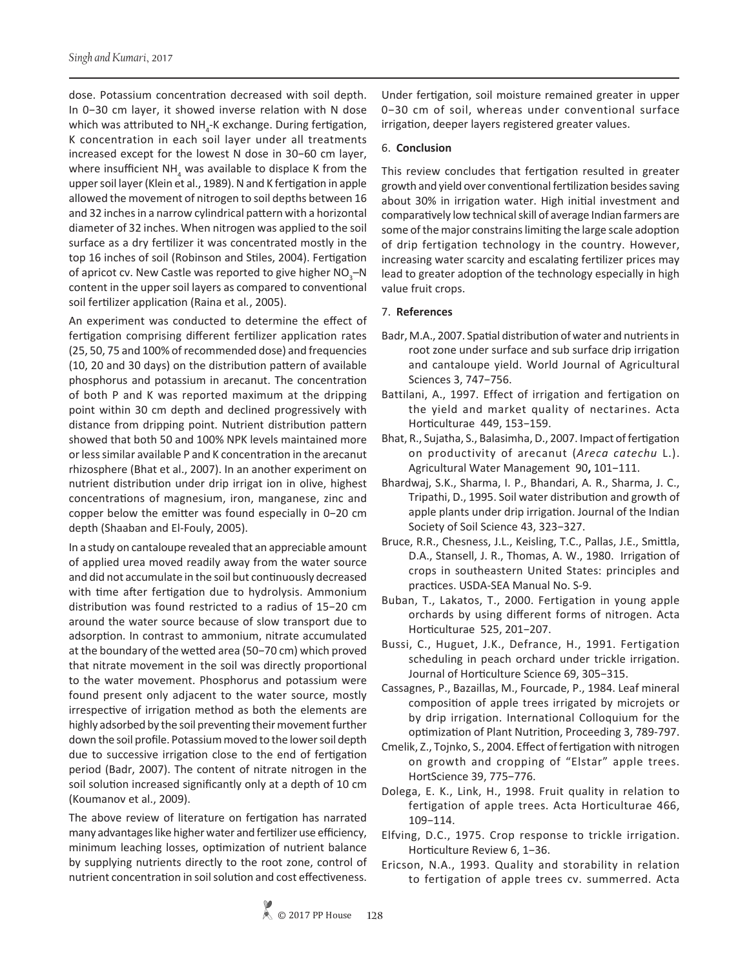dose. Potassium concentration decreased with soil depth. In 0−30 cm layer, it showed inverse relation with N dose which was attributed to NH<sub>4</sub>-K exchange. During fertigation, K concentration in each soil layer under all treatments increased except for the lowest N dose in 30−60 cm layer, where insufficient NH<sub>4</sub> was available to displace K from the upper soil layer (Klein et al., 1989). N and K fertigation in apple allowed the movement of nitrogen to soil depths between 16 and 32 inches in a narrow cylindrical pattern with a horizontal diameter of 32 inches. When nitrogen was applied to the soil surface as a dry fertilizer it was concentrated mostly in the top 16 inches of soil (Robinson and Stiles, 2004). Fertigation of apricot cv. New Castle was reported to give higher  $NO_3$ –N content in the upper soil layers as compared to conventional soil fertilizer application (Raina et al*.*, 2005).

An experiment was conducted to determine the effect of fertigation comprising different fertilizer application rates (25, 50, 75 and 100% of recommended dose) and frequencies (10, 20 and 30 days) on the distribution pattern of available phosphorus and potassium in arecanut. The concentration of both P and K was reported maximum at the dripping point within 30 cm depth and declined progressively with distance from dripping point. Nutrient distribution pattern showed that both 50 and 100% NPK levels maintained more or less similar available P and K concentration in the arecanut rhizosphere (Bhat et al., 2007). In an another experiment on nutrient distribution under drip irrigat ion in olive, highest concentrations of magnesium, iron, manganese, zinc and copper below the emitter was found especially in 0−20 cm depth (Shaaban and El-Fouly, 2005).

In a study on cantaloupe revealed that an appreciable amount of applied urea moved readily away from the water source and did not accumulate in the soil but continuously decreased with time after fertigation due to hydrolysis. Ammonium distribution was found restricted to a radius of 15−20 cm around the water source because of slow transport due to adsorption. In contrast to ammonium, nitrate accumulated at the boundary of the wetted area (50−70 cm) which proved that nitrate movement in the soil was directly proportional to the water movement. Phosphorus and potassium were found present only adjacent to the water source, mostly irrespective of irrigation method as both the elements are highly adsorbed by the soil preventing their movement further down the soil profile. Potassium moved to the lower soil depth due to successive irrigation close to the end of fertigation period (Badr, 2007). The content of nitrate nitrogen in the soil solution increased significantly only at a depth of 10 cm (Koumanov et al., 2009).

The above review of literature on fertigation has narrated many advantages like higher water and fertilizer use efficiency, minimum leaching losses, optimization of nutrient balance by supplying nutrients directly to the root zone, control of nutrient concentration in soil solution and cost effectiveness.

Under fertigation, soil moisture remained greater in upper 0−30 cm of soil, whereas under conventional surface irrigation, deeper layers registered greater values.

#### 6. **Conclusion**

This review concludes that fertigation resulted in greater growth and yield over conventional fertilization besides saving about 30% in irrigation water. High initial investment and comparatively low technical skill of average Indian farmers are some of the major constrains limiting the large scale adoption of drip fertigation technology in the country. However, increasing water scarcity and escalating fertilizer prices may lead to greater adoption of the technology especially in high value fruit crops.

#### 7. **References**

- Badr, M.A., 2007. Spatial distribution of water and nutrients in root zone under surface and sub surface drip irrigation and cantaloupe yield. World Journal of Agricultural Sciences 3, 747−756.
- Battilani, A., 1997. Effect of irrigation and fertigation on the yield and market quality of nectarines. Acta Horticulturae449, 153−159.
- Bhat, R., Sujatha, S., Balasimha, D., 2007. Impact of fertigation on productivity of arecanut (*Areca catechu* L.). Agricultural Water Management 90**,** 101−111.
- Bhardwaj, S.K., Sharma, I. P., Bhandari, A. R., Sharma, J. C., Tripathi, D., 1995. Soil water distribution and growth of apple plants under drip irrigation. Journal of the Indian Society of Soil Science 43, 323−327.
- Bruce, R.R., Chesness, J.L., Keisling, T.C., Pallas, J.E., Smittla, D.A., Stansell, J. R., Thomas, A. W., 1980. Irrigation of crops in southeastern United States: principles and practices. USDA-SEA Manual No. S-9.
- Buban, T., Lakatos, T., 2000. Fertigation in young apple orchards by using different forms of nitrogen. Acta Horticulturae525, 201−207.
- Bussi, C., Huguet, J.K., Defrance, H., 1991. Fertigation scheduling in peach orchard under trickle irrigation. Journal of Horticulture Science 69, 305−315.
- Cassagnes, P., Bazaillas, M., Fourcade, P., 1984. Leaf mineral composition of apple trees irrigated by microjets or by drip irrigation. International Colloquium for the optimization of Plant Nutrition, Proceeding 3, 789-797.
- Cmelik, Z., Tojnko, S., 2004. Effect of fertigation with nitrogen on growth and cropping of "Elstar" apple trees. HortScience 39, 775−776.
- Dolega, E. K., Link, H., 1998. Fruit quality in relation to fertigation of apple trees. Acta Horticulturae 466, 109−114.
- Elfving, D.C., 1975. Crop response to trickle irrigation. Horticulture Review 6, 1−36.
- Ericson, N.A., 1993. Quality and storability in relation to fertigation of apple trees cv. summerred. Acta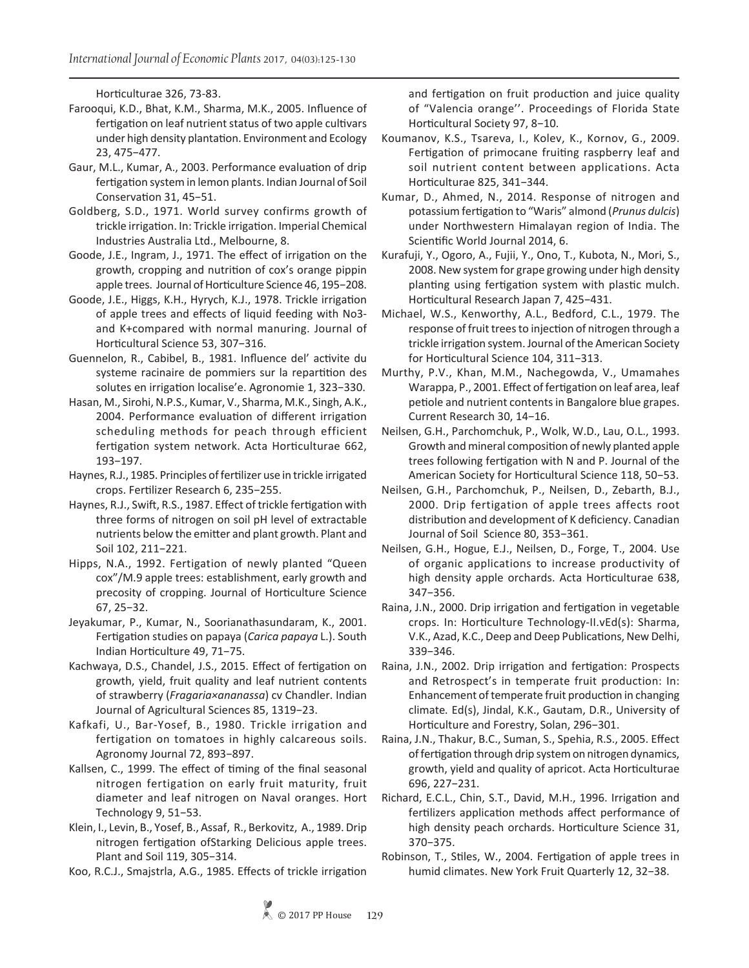Horticulturae 326, 73-83.

- Farooqui, K.D., Bhat, K.M., Sharma, M.K., 2005. Influence of fertigation on leaf nutrient status of two apple cultivars under high density plantation. Environment and Ecology 23, 475−477.
- Gaur, M.L., Kumar, A., 2003. Performance evaluation of drip fertigation system in lemon plants. Indian Journal of Soil Conservation 31, 45−51.
- Goldberg, S.D., 1971. World survey confirms growth of trickle irrigation. In: Trickle irrigation. Imperial Chemical Industries Australia Ltd., Melbourne, 8.
- Goode, J.E., Ingram, J., 1971. The effect of irrigation on the growth, cropping and nutrition of cox's orange pippin apple trees. Journal of Horticulture Science 46, 195−208.
- Goode, J.E., Higgs, K.H., Hyrych, K.J., 1978. Trickle irrigation of apple trees and effects of liquid feeding with No3 and K+compared with normal manuring. Journal of Horticultural Science 53, 307−316.
- Guennelon, R., Cabibel, B., 1981. Influence del' activite du systeme racinaire de pommiers sur la repartition des solutes en irrigation localise'e. Agronomie 1, 323−330.
- Hasan, M., Sirohi, N.P.S., Kumar, V., Sharma, M.K., Singh, A.K., 2004. Performance evaluation of different irrigation scheduling methods for peach through efficient fertigation system network. Acta Horticulturae 662, 193−197.
- Haynes, R.J., 1985. Principles of fertilizer use in trickle irrigated crops. Fertilizer Research 6, 235−255.
- Haynes, R.J., Swift, R.S., 1987. Effect of trickle fertigation with three forms of nitrogen on soil pH level of extractable nutrients below the emitter and plant growth. Plant and Soil 102, 211−221.
- Hipps, N.A., 1992. Fertigation of newly planted "Queen cox"/M.9 apple trees: establishment, early growth and precosity of cropping. Journal of Horticulture Science 67, 25−32.
- Jeyakumar, P., Kumar, N., Soorianathasundaram, K., 2001. Fertigation studies on papaya (*Carica papaya* L.). South Indian Horticulture 49, 71−75.
- Kachwaya, D.S., Chandel, J.S., 2015. Effect of fertigation on growth, yield, fruit quality and leaf nutrient contents of strawberry (*Fragaria×ananassa*) cv Chandler. Indian Journal of Agricultural Sciences 85, 1319−23.
- Kafkafi, U., Bar-Yosef, B., 1980. Trickle irrigation and fertigation on tomatoes in highly calcareous soils. Agronomy Journal 72, 893−897.
- Kallsen, C., 1999. The effect of timing of the final seasonal nitrogen fertigation on early fruit maturity, fruit diameter and leaf nitrogen on Naval oranges. Hort Technology 9, 51−53.
- Klein, I., Levin, B., Yosef, B., Assaf, R., Berkovitz, A., 1989. Drip nitrogen fertigation ofStarking Delicious apple trees. Plant and Soil 119, 305−314.

Koo, R.C.J., Smajstrla, A.G., 1985. Effects of trickle irrigation

and fertigation on fruit production and juice quality of "Valencia orange''. Proceedings of Florida State Horticultural Society 97, 8−10.

- Koumanov, K.S., Tsareva, I., Kolev, K., Kornov, G., 2009. Fertigation of primocane fruiting raspberry leaf and soil nutrient content between applications. Acta Horticulturae 825, 341−344.
- Kumar, D., Ahmed, N., 2014. Response of nitrogen and potassium fertigation to "Waris" almond (*Prunus dulcis*) under Northwestern Himalayan region of India. The Scientific World Journal 2014, 6.
- Kurafuji, Y., Ogoro, A., Fujii, Y., Ono, T., Kubota, N., Mori, S., 2008. New system for grape growing under high density planting using fertigation system with plastic mulch. Horticultural Research Japan 7, 425−431.
- Michael, W.S., Kenworthy, A.L., Bedford, C.L., 1979. The response of fruit trees to injection of nitrogen through a trickle irrigation system. Journal of the American Society for Horticultural Science 104, 311−313.
- Murthy, P.V., Khan, M.M., Nachegowda, V., Umamahes Warappa, P., 2001. Effect of fertigation on leaf area, leaf petiole and nutrient contents in Bangalore blue grapes. Current Research 30, 14−16.
- Neilsen, G.H., Parchomchuk, P., Wolk, W.D., Lau, O.L., 1993. Growth and mineral composition of newly planted apple trees following fertigation with N and P. Journal of the American Society for Horticultural Science 118, 50−53.
- Neilsen, G.H., Parchomchuk, P., Neilsen, D., Zebarth, B.J., 2000. Drip fertigation of apple trees affects root distribution and development of K deficiency. Canadian Journal of Soil Science 80, 353−361.
- Neilsen, G.H., Hogue, E.J., Neilsen, D., Forge, T., 2004. Use of organic applications to increase productivity of high density apple orchards. Acta Horticulturae 638, 347−356.
- Raina, J.N., 2000. Drip irrigation and fertigation in vegetable crops. In: Horticulture Technology-II.vEd(s): Sharma, V.K., Azad, K.C., Deep and Deep Publications, New Delhi, 339−346.
- Raina, J.N., 2002. Drip irrigation and fertigation: Prospects and Retrospect's in temperate fruit production: In: Enhancement of temperate fruit production in changing climate*.* Ed(s), Jindal, K.K., Gautam, D.R., University of Horticulture and Forestry, Solan, 296−301.
- Raina, J.N., Thakur, B.C., Suman, S., Spehia, R.S., 2005. Effect of fertigation through drip system on nitrogen dynamics, growth, yield and quality of apricot. Acta Horticulturae 696, 227−231.
- Richard, E.C.L., Chin, S.T., David, M.H., 1996. Irrigation and fertilizers application methods affect performance of high density peach orchards. Horticulture Science 31, 370−375.
- Robinson, T., Stiles, W., 2004. Fertigation of apple trees in humid climates. New York Fruit Quarterly 12, 32−38.